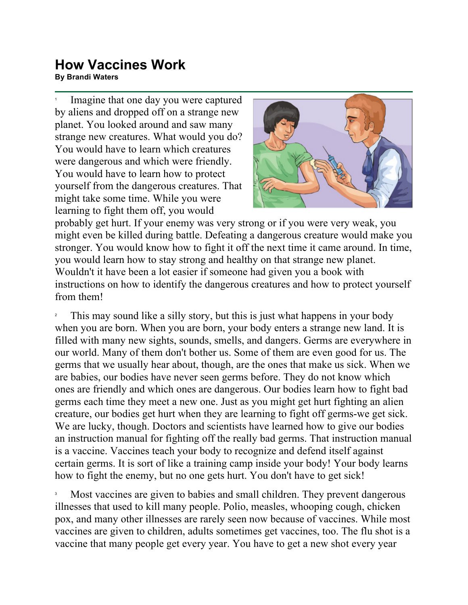## **How Vaccines Work**<br>By Brandi Waters **FIOW VACCINES WOTN<br>By Brandi Waters**

1 Imagine that one day you were captured by aliens and dropped off on a strange new planet. You looked around and saw many strange new creatures. What would you do? You would have to learn which creatures were dangerous and which were friendly. You would have to learn how to protect yourself from the dangerous creatures. That might take some time. While you were learning to fight them off, you would



probably get hurt. If your enemy was very strong or if you were very weak, you might even be killed during battle. Defeating a dangerous creature would make you stronger. You would know how to fight it off the next time it came around. In time, you would learn how to stay strong and healthy on that strange new planet. Wouldn't it have been a lot easier if someone had given you a book with instructions on how to identify the dangerous creatures and how to protect yourself from them!

2 This may sound like a silly story, but this is just what happens in your body when you are born. When you are born, your body enters a strange new land. It is filled with many new sights, sounds, smells, and dangers. Germs are everywhere in our world. Many of them don't bother us. Some of them are even good for us. The germs that we usually hear about, though, are the ones that make us sick. When we are babies, our bodies have never seen germs before. They do not know which ones are friendly and which ones are dangerous. Our bodies learn how to fight bad germs each time they meet a new one. Just as you might get hurt fighting an alien creature, our bodies get hurt when they are learning to fight off germs-we get sick. We are lucky, though. Doctors and scientists have learned how to give our bodies an instruction manual for fighting off the really bad germs. That instruction manual is a vaccine. Vaccines teach your body to recognize and defend itself against certain germs. It is sort of like a training camp inside your body! Your body learns how to fight the enemy, but no one gets hurt. You don't have to get sick!

3 Most vaccines are given to babies and small children. They prevent dangerous illnesses that used to kill many people. Polio, measles, whooping cough, chicken pox, and many other illnesses are rarely seen now because of vaccines. While most vaccines are given to children, adults sometimes get vaccines, too. The flu shot is a vaccine that many people get every year. You have to get a new shot every year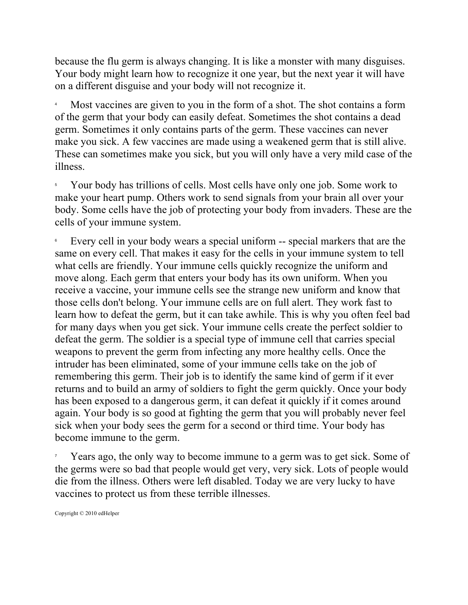because the flu germ is always changing. It is like a monster with many disguises. Your body might learn how to recognize it one year, but the next year it will have on a different disguise and your body will not recognize it.

4 Most vaccines are given to you in the form of a shot. The shot contains a form of the germ that your body can easily defeat. Sometimes the shot contains a dead germ. Sometimes it only contains parts of the germ. These vaccines can never make you sick. A few vaccines are made using a weakened germ that is still alive. These can sometimes make you sick, but you will only have a very mild case of the illness.

5 Your body has trillions of cells. Most cells have only one job. Some work to make your heart pump. Others work to send signals from your brain all over your body. Some cells have the job of protecting your body from invaders. These are the cells of your immune system.

6 Every cell in your body wears a special uniform -- special markers that are the same on every cell. That makes it easy for the cells in your immune system to tell what cells are friendly. Your immune cells quickly recognize the uniform and move along. Each germ that enters your body has its own uniform. When you receive a vaccine, your immune cells see the strange new uniform and know that those cells don't belong. Your immune cells are on full alert. They work fast to learn how to defeat the germ, but it can take awhile. This is why you often feel bad for many days when you get sick. Your immune cells create the perfect soldier to defeat the germ. The soldier is a special type of immune cell that carries special weapons to prevent the germ from infecting any more healthy cells. Once the intruder has been eliminated, some of your immune cells take on the job of remembering this germ. Their job is to identify the same kind of germ if it ever returns and to build an army of soldiers to fight the germ quickly. Once your body has been exposed to a dangerous germ, it can defeat it quickly if it comes around again. Your body is so good at fighting the germ that you will probably never feel sick when your body sees the germ for a second or third time. Your body has become immune to the germ.

7 Years ago, the only way to become immune to a germ was to get sick. Some of the germs were so bad that people would get very, very sick. Lots of people would die from the illness. Others were left disabled. Today we are very lucky to have vaccines to protect us from these terrible illnesses.

Copyright © 2010 edHelper